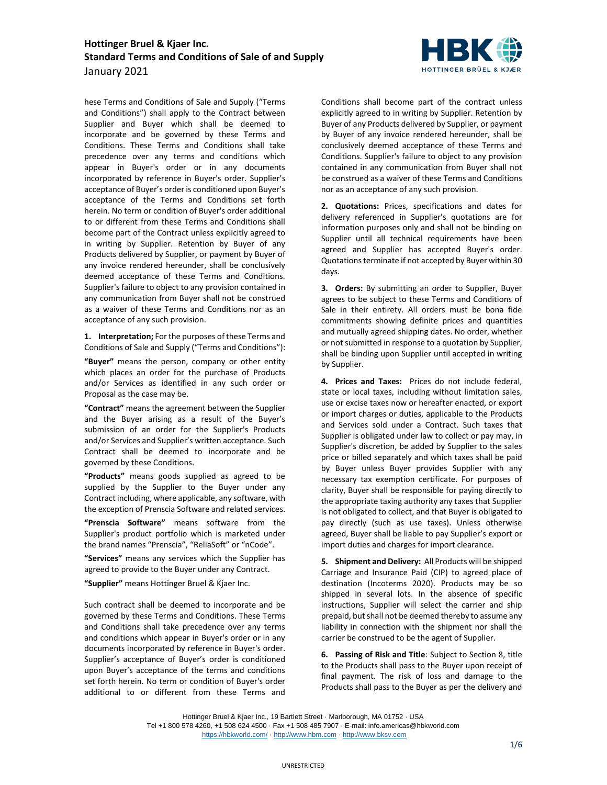

hese Terms and Conditions of Sale and Supply ("Terms and Conditions") shall apply to the Contract between Supplier and Buyer which shall be deemed to incorporate and be governed by these Terms and Conditions. These Terms and Conditions shall take precedence over any terms and conditions which appear in Buyer's order or in any documents incorporated by reference in Buyer's order. Supplier's acceptance of Buyer's order is conditioned upon Buyer's acceptance of the Terms and Conditions set forth herein. No term or condition of Buyer's order additional to or different from these Terms and Conditions shall become part of the Contract unless explicitly agreed to in writing by Supplier. Retention by Buyer of any Products delivered by Supplier, or payment by Buyer of any invoice rendered hereunder, shall be conclusively deemed acceptance of these Terms and Conditions. Supplier's failure to object to any provision contained in any communication from Buyer shall not be construed as a waiver of these Terms and Conditions nor as an acceptance of any such provision.

**1. Interpretation;** For the purposes of these Terms and Conditions of Sale and Supply ("Terms and Conditions"):

**"Buyer"** means the person, company or other entity which places an order for the purchase of Products and/or Services as identified in any such order or Proposal as the case may be.

**"Contract"** means the agreement between the Supplier and the Buyer arising as a result of the Buyer's submission of an order for the Supplier's Products and/or Services and Supplier's written acceptance. Such Contract shall be deemed to incorporate and be governed by these Conditions.

**"Products"** means goods supplied as agreed to be supplied by the Supplier to the Buyer under any Contract including, where applicable, any software, with the exception of Prenscia Software and related services.

**"Prenscia Software"** means software from the Supplier's product portfolio which is marketed under the brand names "Prenscia", "ReliaSoft" or "nCode".

**"Services"** means any services which the Supplier has agreed to provide to the Buyer under any Contract.

**"Supplier"** means Hottinger Bruel & Kjaer Inc.

Such contract shall be deemed to incorporate and be governed by these Terms and Conditions. These Terms and Conditions shall take precedence over any terms and conditions which appear in Buyer's order or in any documents incorporated by reference in Buyer's order. Supplier's acceptance of Buyer's order is conditioned upon Buyer's acceptance of the terms and conditions set forth herein. No term or condition of Buyer's order additional to or different from these Terms and Conditions shall become part of the contract unless explicitly agreed to in writing by Supplier. Retention by Buyer of any Products delivered by Supplier, or payment by Buyer of any invoice rendered hereunder, shall be conclusively deemed acceptance of these Terms and Conditions. Supplier's failure to object to any provision contained in any communication from Buyer shall not be construed as a waiver of these Terms and Conditions nor as an acceptance of any such provision.

**2. Quotations:** Prices, specifications and dates for delivery referenced in Supplier's quotations are for information purposes only and shall not be binding on Supplier until all technical requirements have been agreed and Supplier has accepted Buyer's order. Quotations terminate if not accepted by Buyer within 30 days.

**3. Orders:** By submitting an order to Supplier, Buyer agrees to be subject to these Terms and Conditions of Sale in their entirety. All orders must be bona fide commitments showing definite prices and quantities and mutually agreed shipping dates. No order, whether or not submitted in response to a quotation by Supplier, shall be binding upon Supplier until accepted in writing by Supplier.

**4. Prices and Taxes:** Prices do not include federal, state or local taxes, including without limitation sales, use or excise taxes now or hereafter enacted, or export or import charges or duties, applicable to the Products and Services sold under a Contract. Such taxes that Supplier is obligated under law to collect or pay may, in Supplier's discretion, be added by Supplier to the sales price or billed separately and which taxes shall be paid by Buyer unless Buyer provides Supplier with any necessary tax exemption certificate. For purposes of clarity, Buyer shall be responsible for paying directly to the appropriate taxing authority any taxes that Supplier is not obligated to collect, and that Buyer is obligated to pay directly (such as use taxes). Unless otherwise agreed, Buyer shall be liable to pay Supplier's export or import duties and charges for import clearance.

<span id="page-0-0"></span>**5. Shipment and Delivery:** All Products will be shipped Carriage and Insurance Paid (CIP) to agreed place of destination (Incoterms 2020). Products may be so shipped in several lots. In the absence of specific instructions, Supplier will select the carrier and ship prepaid, but shall not be deemed thereby to assume any liability in connection with the shipment nor shall the carrier be construed to be the agent of Supplier.

**6. Passing of Risk and Title**: Subject to Section [8,](#page-1-0) title to the Products shall pass to the Buyer upon receipt of final payment. The risk of loss and damage to the Products shall pass to the Buyer as per the delivery and

Hottinger Bruel & Kjaer Inc., 19 Bartlett Street · Marlborough, MA 01752 · USA Tel +1 800 578 4260, +1 508 624 4500 · Fax +1 508 485 7907 · E-mail: info.americas@hbkworld.com <https://hbkworld.com/> · [http://www.hbm.com](http://www.hbm.com/) · [http://www.bksv.com](http://www.bksv.com/)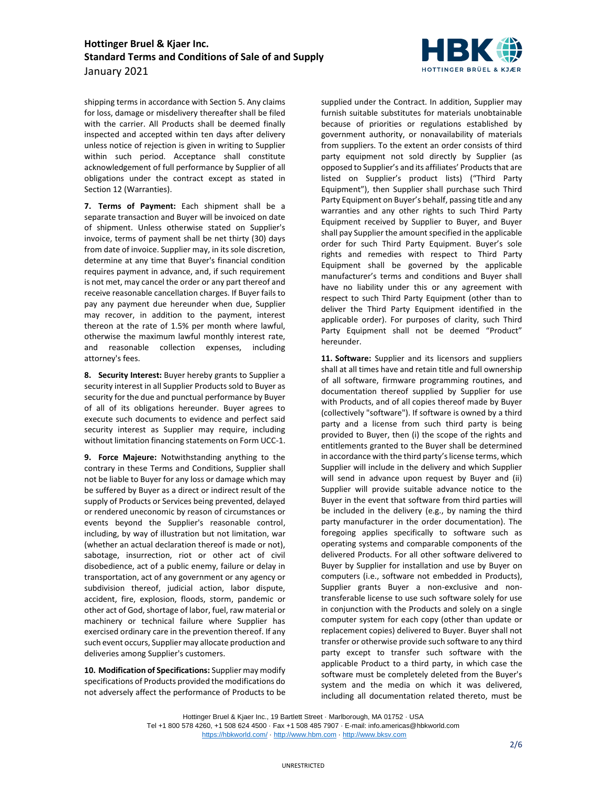

shipping terms in accordance with Sectio[n 5.](#page-0-0) Any claims for loss, damage or misdelivery thereafter shall be filed with the carrier. All Products shall be deemed finally inspected and accepted within ten days after delivery unless notice of rejection is given in writing to Supplier within such period. Acceptance shall constitute acknowledgement of full performance by Supplier of all obligations under the contract except as stated in Sectio[n 12](#page-2-0) (Warranties).

**7. Terms of Payment:** Each shipment shall be a separate transaction and Buyer will be invoiced on date of shipment. Unless otherwise stated on Supplier's invoice, terms of payment shall be net thirty (30) days from date of invoice. Supplier may, in its sole discretion, determine at any time that Buyer's financial condition requires payment in advance, and, if such requirement is not met, may cancel the order or any part thereof and receive reasonable cancellation charges. If Buyer fails to pay any payment due hereunder when due, Supplier may recover, in addition to the payment, interest thereon at the rate of 1.5% per month where lawful, otherwise the maximum lawful monthly interest rate, and reasonable collection expenses, including attorney's fees.

<span id="page-1-0"></span>**8. Security Interest:** Buyer hereby grants to Supplier a security interest in all Supplier Products sold to Buyer as security for the due and punctual performance by Buyer of all of its obligations hereunder. Buyer agrees to execute such documents to evidence and perfect said security interest as Supplier may require, including without limitation financing statements on Form UCC-1.

**9. Force Majeure:** Notwithstanding anything to the contrary in these Terms and Conditions, Supplier shall not be liable to Buyer for any loss or damage which may be suffered by Buyer as a direct or indirect result of the supply of Products or Services being prevented, delayed or rendered uneconomic by reason of circumstances or events beyond the Supplier's reasonable control, including, by way of illustration but not limitation, war (whether an actual declaration thereof is made or not), sabotage, insurrection, riot or other act of civil disobedience, act of a public enemy, failure or delay in transportation, act of any government or any agency or subdivision thereof, judicial action, labor dispute, accident, fire, explosion, floods, storm, pandemic or other act of God, shortage of labor, fuel, raw material or machinery or technical failure where Supplier has exercised ordinary care in the prevention thereof. If any such event occurs, Supplier may allocate production and deliveries among Supplier's customers.

**10. Modification of Specifications:** Supplier may modify specifications of Products provided the modifications do not adversely affect the performance of Products to be supplied under the Contract. In addition, Supplier may furnish suitable substitutes for materials unobtainable because of priorities or regulations established by government authority, or nonavailability of materials from suppliers. To the extent an order consists of third party equipment not sold directly by Supplier (as opposed to Supplier's and its affiliates' Products that are listed on Supplier's product lists) ("Third Party Equipment"), then Supplier shall purchase such Third Party Equipment on Buyer's behalf, passing title and any warranties and any other rights to such Third Party Equipment received by Supplier to Buyer, and Buyer shall pay Supplier the amount specified in the applicable order for such Third Party Equipment. Buyer's sole rights and remedies with respect to Third Party Equipment shall be governed by the applicable manufacturer's terms and conditions and Buyer shall have no liability under this or any agreement with respect to such Third Party Equipment (other than to deliver the Third Party Equipment identified in the applicable order). For purposes of clarity, such Third Party Equipment shall not be deemed "Product" hereunder.

**11. Software:** Supplier and its licensors and suppliers shall at all times have and retain title and full ownership of all software, firmware programming routines, and documentation thereof supplied by Supplier for use with Products, and of all copies thereof made by Buyer (collectively "software"). If software is owned by a third party and a license from such third party is being provided to Buyer, then (i) the scope of the rights and entitlements granted to the Buyer shall be determined in accordance with the third party's license terms, which Supplier will include in the delivery and which Supplier will send in advance upon request by Buyer and (ii) Supplier will provide suitable advance notice to the Buyer in the event that software from third parties will be included in the delivery (e.g., by naming the third party manufacturer in the order documentation). The foregoing applies specifically to software such as operating systems and comparable components of the delivered Products. For all other software delivered to Buyer by Supplier for installation and use by Buyer on computers (i.e., software not embedded in Products), Supplier grants Buyer a non-exclusive and nontransferable license to use such software solely for use in conjunction with the Products and solely on a single computer system for each copy (other than update or replacement copies) delivered to Buyer. Buyer shall not transfer or otherwise provide such software to any third party except to transfer such software with the applicable Product to a third party, in which case the software must be completely deleted from the Buyer's system and the media on which it was delivered, including all documentation related thereto, must be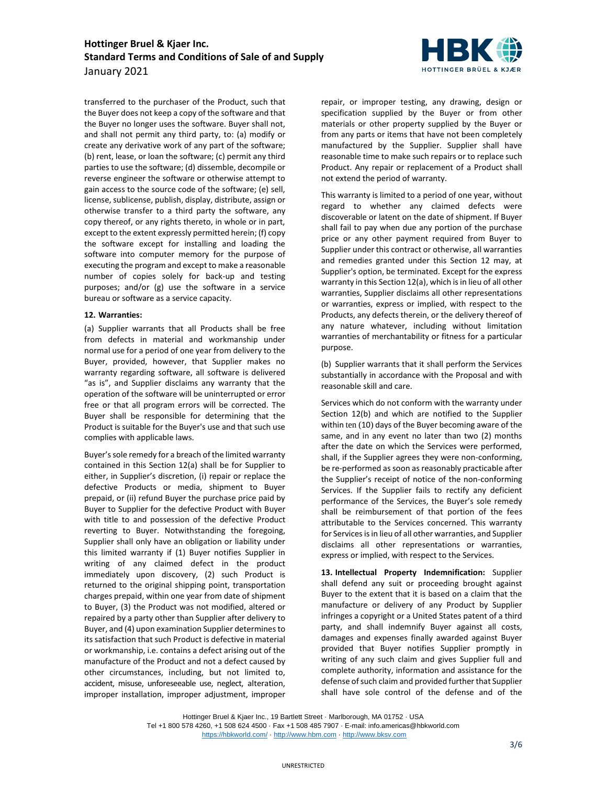

transferred to the purchaser of the Product, such that the Buyer does not keep a copy of the software and that the Buyer no longer uses the software. Buyer shall not, and shall not permit any third party, to: (a) modify or create any derivative work of any part of the software; (b) rent, lease, or loan the software; (c) permit any third parties to use the software; (d) dissemble, decompile or reverse engineer the software or otherwise attempt to gain access to the source code of the software; (e) sell, license, sublicense, publish, display, distribute, assign or otherwise transfer to a third party the software, any copy thereof, or any rights thereto, in whole or in part, except to the extent expressly permitted herein; (f) copy the software except for installing and loading the software into computer memory for the purpose of executing the program and except to make a reasonable number of copies solely for back-up and testing purposes; and/or (g) use the software in a service bureau or software as a service capacity.

#### <span id="page-2-0"></span>**12. Warranties:**

(a) Supplier warrants that all Products shall be free from defects in material and workmanship under normal use for a period of one year from delivery to the Buyer, provided, however, that Supplier makes no warranty regarding software, all software is delivered "as is", and Supplier disclaims any warranty that the operation of the software will be uninterrupted or error free or that all program errors will be corrected. The Buyer shall be responsible for determining that the Product is suitable for the Buyer's use and that such use complies with applicable laws.

Buyer's sole remedy for a breach of the limited warranty contained in this Section [12\(](#page-2-0)a) shall be for Supplier to either, in Supplier's discretion, (i) repair or replace the defective Products or media, shipment to Buyer prepaid, or (ii) refund Buyer the purchase price paid by Buyer to Supplier for the defective Product with Buyer with title to and possession of the defective Product reverting to Buyer. Notwithstanding the foregoing, Supplier shall only have an obligation or liability under this limited warranty if (1) Buyer notifies Supplier in writing of any claimed defect in the product immediately upon discovery, (2) such Product is returned to the original shipping point, transportation charges prepaid, within one year from date of shipment to Buyer, (3) the Product was not modified, altered or repaired by a party other than Supplier after delivery to Buyer, and (4) upon examination Supplier determines to its satisfaction that such Product is defective in material or workmanship, i.e. contains a defect arising out of the manufacture of the Product and not a defect caused by other circumstances, including, but not limited to, accident, misuse, unforeseeable use, neglect, alteration, improper installation, improper adjustment, improper repair, or improper testing, any drawing, design or specification supplied by the Buyer or from other materials or other property supplied by the Buyer or from any parts or items that have not been completely manufactured by the Supplier. Supplier shall have reasonable time to make such repairs or to replace such Product. Any repair or replacement of a Product shall not extend the period of warranty.

This warranty is limited to a period of one year, without regard to whether any claimed defects were discoverable or latent on the date of shipment. If Buyer shall fail to pay when due any portion of the purchase price or any other payment required from Buyer to Supplier under this contract or otherwise, all warranties and remedies granted under this Section [12](#page-2-0) may, at Supplier's option, be terminated. Except for the express warranty in this Sectio[n 12\(](#page-2-0)a), which is in lieu of all other warranties, Supplier disclaims all other representations or warranties, express or implied, with respect to the Products, any defects therein, or the delivery thereof of any nature whatever, including without limitation warranties of merchantability or fitness for a particular purpose.

(b) Supplier warrants that it shall perform the Services substantially in accordance with the Proposal and with reasonable skill and care.

Services which do not conform with the warranty under Section [12\(](#page-2-0)b) and which are notified to the Supplier within ten (10) days of the Buyer becoming aware of the same, and in any event no later than two (2) months after the date on which the Services were performed, shall, if the Supplier agrees they were non-conforming, be re-performed as soon as reasonably practicable after the Supplier's receipt of notice of the non-conforming Services. If the Supplier fails to rectify any deficient performance of the Services, the Buyer's sole remedy shall be reimbursement of that portion of the fees attributable to the Services concerned. This warranty for Services is in lieu of all other warranties, and Supplier disclaims all other representations or warranties, express or implied, with respect to the Services.

<span id="page-2-1"></span>**13. Intellectual Property Indemnification:** Supplier shall defend any suit or proceeding brought against Buyer to the extent that it is based on a claim that the manufacture or delivery of any Product by Supplier infringes a copyright or a United States patent of a third party, and shall indemnify Buyer against all costs, damages and expenses finally awarded against Buyer provided that Buyer notifies Supplier promptly in writing of any such claim and gives Supplier full and complete authority, information and assistance for the defense of such claim and provided further that Supplier shall have sole control of the defense and of the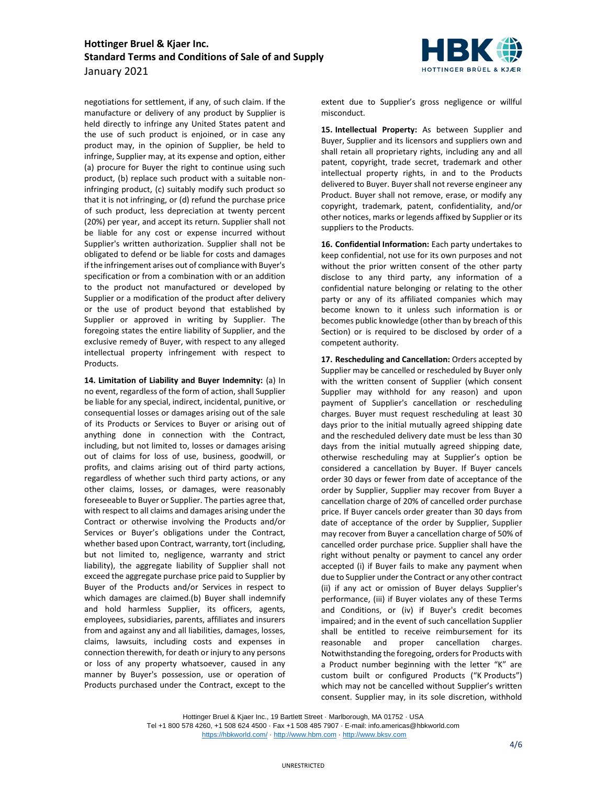

**14. Limitation of Liability and Buyer Indemnity:** (a) In no event, regardless of the form of action, shall Supplier be liable for any special, indirect, incidental, punitive, or consequential losses or damages arising out of the sale of its Products or Services to Buyer or arising out of anything done in connection with the Contract, including, but not limited to, losses or damages arising out of claims for loss of use, business, goodwill, or profits, and claims arising out of third party actions, regardless of whether such third party actions, or any other claims, losses, or damages, were reasonably foreseeable to Buyer or Supplier. The parties agree that, with respect to all claims and damages arising under the Contract or otherwise involving the Products and/or Services or Buyer's obligations under the Contract, whether based upon Contract, warranty, tort (including, but not limited to, negligence, warranty and strict liability), the aggregate liability of Supplier shall not exceed the aggregate purchase price paid to Supplier by Buyer of the Products and/or Services in respect to which damages are claimed.(b) Buyer shall indemnify and hold harmless Supplier, its officers, agents, employees, subsidiaries, parents, affiliates and insurers from and against any and all liabilities, damages, losses, claims, lawsuits, including costs and expenses in connection therewith, for death or injury to any persons or loss of any property whatsoever, caused in any manner by Buyer's possession, use or operation of Products purchased under the Contract, except to the



extent due to Supplier's gross negligence or willful misconduct.

**15. Intellectual Property:** As between Supplier and Buyer, Supplier and its licensors and suppliers own and shall retain all proprietary rights, including any and all patent, copyright, trade secret, trademark and other intellectual property rights, in and to the Products delivered to Buyer. Buyer shall not reverse engineer any Product. Buyer shall not remove, erase, or modify any copyright, trademark, patent, confidentiality, and/or other notices, marks or legends affixed by Supplier or its suppliers to the Products.

**16. Confidential Information:** Each party undertakes to keep confidential, not use for its own purposes and not without the prior written consent of the other party disclose to any third party, any information of a confidential nature belonging or relating to the other party or any of its affiliated companies which may become known to it unless such information is or becomes public knowledge (other than by breach of this Section) or is required to be disclosed by order of a competent authority.

**17. Rescheduling and Cancellation:** Orders accepted by Supplier may be cancelled or rescheduled by Buyer only with the written consent of Supplier (which consent Supplier may withhold for any reason) and upon payment of Supplier's cancellation or rescheduling charges. Buyer must request rescheduling at least 30 days prior to the initial mutually agreed shipping date and the rescheduled delivery date must be less than 30 days from the initial mutually agreed shipping date, otherwise rescheduling may at Supplier's option be considered a cancellation by Buyer. If Buyer cancels order 30 days or fewer from date of acceptance of the order by Supplier, Supplier may recover from Buyer a cancellation charge of 20% of cancelled order purchase price. If Buyer cancels order greater than 30 days from date of acceptance of the order by Supplier, Supplier may recover from Buyer a cancellation charge of 50% of cancelled order purchase price. Supplier shall have the right without penalty or payment to cancel any order accepted (i) if Buyer fails to make any payment when due to Supplier under the Contract or any other contract (ii) if any act or omission of Buyer delays Supplier's performance, (iii) if Buyer violates any of these Terms and Conditions, or (iv) if Buyer's credit becomes impaired; and in the event of such cancellation Supplier shall be entitled to receive reimbursement for its reasonable and proper cancellation charges. Notwithstanding the foregoing, orders for Products with a Product number beginning with the letter "K" are custom built or configured Products ("K Products") which may not be cancelled without Supplier's written consent. Supplier may, in its sole discretion, withhold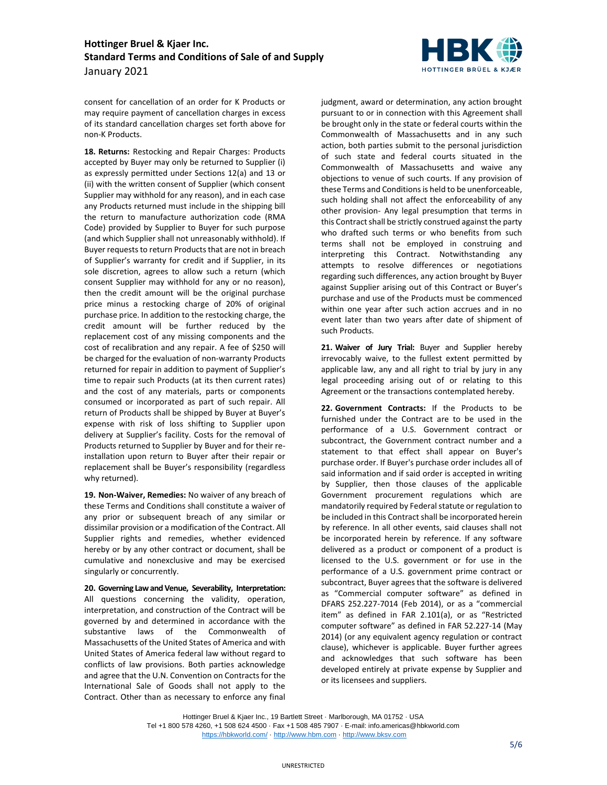

consent for cancellation of an order for K Products or may require payment of cancellation charges in excess of its standard cancellation charges set forth above for non-K Products.

**18. Returns:** Restocking and Repair Charges: Products accepted by Buyer may only be returned to Supplier (i) as expressly permitted under Sections [12\(](#page-2-0)a) and [13](#page-2-1) or (ii) with the written consent of Supplier (which consent Supplier may withhold for any reason), and in each case any Products returned must include in the shipping bill the return to manufacture authorization code (RMA Code) provided by Supplier to Buyer for such purpose (and which Supplier shall not unreasonably withhold). If Buyer requests to return Products that are not in breach of Supplier's warranty for credit and if Supplier, in its sole discretion, agrees to allow such a return (which consent Supplier may withhold for any or no reason), then the credit amount will be the original purchase price minus a restocking charge of 20% of original purchase price. In addition to the restocking charge, the credit amount will be further reduced by the replacement cost of any missing components and the cost of recalibration and any repair. A fee of \$250 will be charged for the evaluation of non-warranty Products returned for repair in addition to payment of Supplier's time to repair such Products (at its then current rates) and the cost of any materials, parts or components consumed or incorporated as part of such repair. All return of Products shall be shipped by Buyer at Buyer's expense with risk of loss shifting to Supplier upon delivery at Supplier's facility. Costs for the removal of Products returned to Supplier by Buyer and for their reinstallation upon return to Buyer after their repair or replacement shall be Buyer's responsibility (regardless why returned).

**19. Non-Waiver, Remedies:** No waiver of any breach of these Terms and Conditions shall constitute a waiver of any prior or subsequent breach of any similar or dissimilar provision or a modification of the Contract. All Supplier rights and remedies, whether evidenced hereby or by any other contract or document, shall be cumulative and nonexclusive and may be exercised singularly or concurrently.

**20. Governing LawandVenue, Severability, Interpretation:** All questions concerning the validity, operation, interpretation, and construction of the Contract will be governed by and determined in accordance with the substantive laws of the Commonwealth of Massachusetts of the United States of America and with United States of America federal law without regard to conflicts of law provisions. Both parties acknowledge and agree that the U.N. Convention on Contracts for the International Sale of Goods shall not apply to the Contract. Other than as necessary to enforce any final

judgment, award or determination, any action brought pursuant to or in connection with this Agreement shall be brought only in the state or federal courts within the Commonwealth of Massachusetts and in any such action, both parties submit to the personal jurisdiction of such state and federal courts situated in the Commonwealth of Massachusetts and waive any objections to venue of such courts. If any provision of these Terms and Conditions is held to be unenforceable, such holding shall not affect the enforceability of any other provision- Any legal presumption that terms in this Contract shall be strictly construed against the party who drafted such terms or who benefits from such terms shall not be employed in construing and interpreting this Contract. Notwithstanding any attempts to resolve differences or negotiations regarding such differences, any action brought by Buyer against Supplier arising out of this Contract or Buyer's purchase and use of the Products must be commenced within one year after such action accrues and in no event later than two years after date of shipment of such Products.

**21. Waiver of Jury Trial:** Buyer and Supplier hereby irrevocably waive, to the fullest extent permitted by applicable law, any and all right to trial by jury in any legal proceeding arising out of or relating to this Agreement or the transactions contemplated hereby.

**22. Government Contracts:** If the Products to be furnished under the Contract are to be used in the performance of a U.S. Government contract or subcontract, the Government contract number and a statement to that effect shall appear on Buyer's purchase order. If Buyer's purchase order includes all of said information and if said order is accepted in writing by Supplier, then those clauses of the applicable Government procurement regulations which are mandatorily required by Federal statute or regulation to be included in this Contract shall be incorporated herein by reference. In all other events, said clauses shall not be incorporated herein by reference. If any software delivered as a product or component of a product is licensed to the U.S. government or for use in the performance of a U.S. government prime contract or subcontract, Buyer agrees that the software is delivered as "Commercial computer software" as defined in DFARS 252.227-7014 (Feb 2014), or as a "commercial item" as defined in FAR 2.101(a), or as "Restricted computer software" as defined in FAR 52.227-14 (May 2014) (or any equivalent agency regulation or contract clause), whichever is applicable. Buyer further agrees and acknowledges that such software has been developed entirely at private expense by Supplier and or its licensees and suppliers.

Hottinger Bruel & Kjaer Inc., 19 Bartlett Street · Marlborough, MA 01752 · USA Tel +1 800 578 4260, +1 508 624 4500 · Fax +1 508 485 7907 · E-mail: info.americas@hbkworld.com <https://hbkworld.com/> · [http://www.hbm.com](http://www.hbm.com/) · [http://www.bksv.com](http://www.bksv.com/)